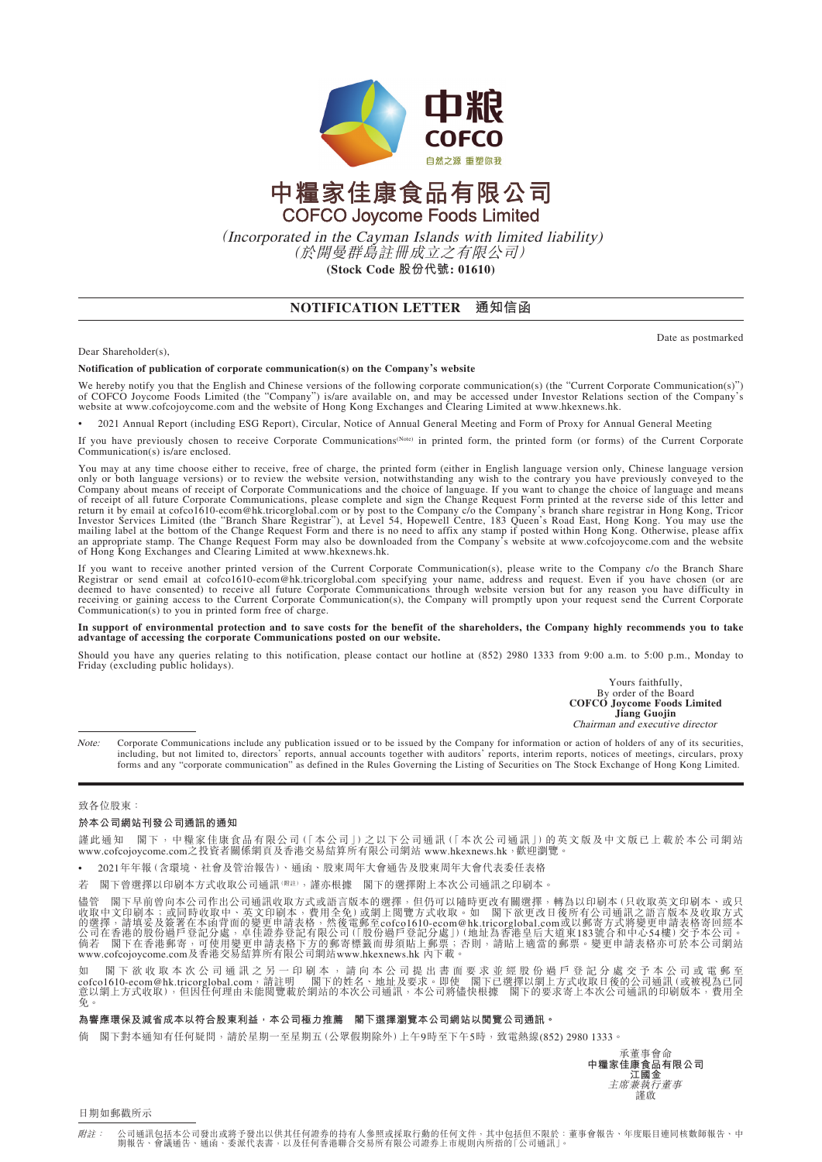

# 中糧家佳康食品有限公司 **COFCO Joycome Foods Limited**

(Incorporated in the Cayman Islands with limited liability) (於開曼群島註冊成立之有限公司) **(Stock Code 股份代號: 01610)**

# **NOTIFICATION LETTER 通知信函**

Date as postmarked

#### Dear Shareholder(s),

#### **Notification of publication of corporate communication(s) on the Company's website**

We hereby notify you that the English and Chinese versions of the following corporate communication(s) (the "Current Corporate Communication(s)") of COFCO Joycome Foods Limited (the "Company") is/are available on, and may

• 2021 Annual Report (including ESG Report), Circular, Notice of Annual General Meeting and Form of Proxy for Annual General Meeting

If you have previously chosen to receive Corporate Communications(Note) in printed form, the printed form (or forms) of the Current Corporate Communication(s) is/are enclosed.

You may at any time choose either to receive, free of charge, the printed form (either in English language version only, Chinese language version only or both language versions) or to review the website version, notwithstanding any wish to the contrary you have previously conveyed to the Company about means of receipt of Corporate Communications and the choice of la of receipt of all future Corporate Communications, please complete and sign the Change Request Form printed at the reverse side of this letter and<br>Intersturn it by email at cofco1610-ecom@hk.tricorglobal.com or by post to an appropriate stamp. The Change Request Form may also be downloaded from the Company's website at www.cofcojoycome.com and the website of Hong Kong Exchanges and Clearing Limited at www.hkexnews.hk.

If you want to receive another printed version of the Current Corporate Communication(s), please write to the Company c/o the Branch Share<br>Registrar or send email at cofco1610-ecom@hk.tricorglobal.com specifying your name, Communication(s) to you in printed form free of charge.

**In support of environmental protection and to save costs for the benefit of the shareholders, the Company highly recommends you to take advantage of accessing the corporate Communications posted on our website.**

Should you have any queries relating to this notification, please contact our hotline at (852) 2980 1333 from 9:00 a.m. to 5:00 p.m., Monday to Friday (excluding public holidays).

> Yours faithfully, By order of the Board **COFCO Joycome Foods Limited Jiang Guojin** Chairman and executive director

Note: Corporate Communications include any publication issued or to be issued by the Company for information or action of holders of any of its securities, including, but not limited to, directors' reports, annual accounts together with auditors' reports, interim reports, notices of meetings, circulars, proxy forms and any "corporate communication" as defined in the Rules Governing the Listing of Securities on The Stock Exchange of Hong Kong Limited.

#### 致各位股東:

## **於本公司網站刊發公司通訊的通知**

謹此通知 閣下,中糧家佳康食品有限公司(「本公司」)之以下公司通訊(「本次公司通訊」)的英文版及中文版已上載於本公司網站<br>www.cofcojoycome.com之投資者關係網頁及香港交易結算所有限公司網站 www.hkexnews.hk,歡迎瀏覽。

• 2021年年報(含環境、社會及管治報告)、通函、股東周年大會通告及股東周年大會代表委任表格

若 閣下曾選擇以印刷本方式收取公司通訊(附註),謹亦根據 閣下的選擇附上本次公司通訊之印刷本。

儘管 閣下早前曾向本公司作出公司通訊收取方式或語言版本的選擇,但仍可以隨時更改有關選擇,轉為以印刷本(只收取英文印刷本、或只<br>收取中文印刷本;或同時收取中、英文印刷本,費用全免)或網上閲覽方式收取。如 閣下欲更改日後所有公司通訊之語言版本及收取方式<br>的選擇,請填妥及簽署在本函背面的變更申請表格,然後電郵至cofco1610-ecom@hk.tricorglobal.com或以到商行式的是前表格寄言版本及收取方式<br>公司在香港的股份過戶登記分

如 閣 下 欲 收 取 本 次 公 司 通 訊 之 另 一 印 刷 本 , 請 向 本 公 司 提 出 書 面 要 求 並 經 股 份 過 戶 登 記 分 處 交 予 本 公 司 或 電 郵 至<br>cofco1610-ecom@hk.tricorglobal.com,請註明 閣下的姓名、地址及要求。即使 閣下已選擇以網上方式收取日後的公司通訊(或被視為已同<br>免 。<br>免 。

### **為響應環保及減省成本以符合股東利益,本公司極力推薦 閣下選擇瀏覽本公司網站以閱覽公司通訊。**

倘 閣下對本通知有任何疑問,請於星期一至星期五(公眾假期除外)上午9時至下午5時,致電熱線(852) 2980 1333。



日期如郵戳所示

附註: 公司通訊包括本公司發出或將予發出以供其任何證券的持有人參照或採取行動的任何文件,其中包括但不限於:董事會報告、年度賬目連同核數師報告、中 公司通訊 213平公司發出或府了發出以於共任內起分的持有入參照或孫來有動的任內文什,共干 214世小依原<br>期報告、會議通告、通函、委派代表書,以及任何香港聯合交易所有限公司證券上市規則內所指的「公司通訊」。